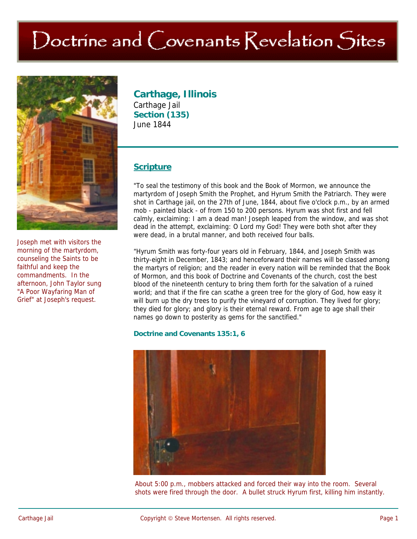# Doctrine and Covenants Revelation Sites



Joseph met with visitors the morning of the martyrdom, counseling the Saints to be faithful and keep the commandments. In the afternoon, John Taylor sung "A Poor Wayfaring Man of Grief" at Joseph's request.

# **Carthage, Illinois**

Carthage Jail **Section (135)**  June 1844

# **Scripture**

"To seal the testimony of this book and the Book of Mormon, we announce the martyrdom of Joseph Smith the Prophet, and Hyrum Smith the Patriarch. They were shot in Carthage jail, on the 27th of June, 1844, about five o'clock p.m., by an armed mob - painted black - of from 150 to 200 persons. Hyrum was shot first and fell calmly, exclaiming: I am a dead man! Joseph leaped from the window, and was shot dead in the attempt, exclaiming: O Lord my God! They were both shot after they were dead, in a brutal manner, and both received four balls.

"Hyrum Smith was forty-four years old in February, 1844, and Joseph Smith was thirty-eight in December, 1843; and henceforward their names will be classed among the martyrs of religion; and the reader in every nation will be reminded that the Book of Mormon, and this book of Doctrine and Covenants of the church, cost the best blood of the nineteenth century to bring them forth for the salvation of a ruined world; and that if the fire can scathe a green tree for the glory of God, how easy it will burn up the dry trees to purify the vineyard of corruption. They lived for glory; they died for glory; and glory is their eternal reward. From age to age shall their names go down to posterity as gems for the sanctified."

#### **Doctrine and Covenants 135:1, 6**



About 5:00 p.m., mobbers attacked and forced their way into the room. Several shots were fired through the door. A bullet struck Hyrum first, killing him instantly.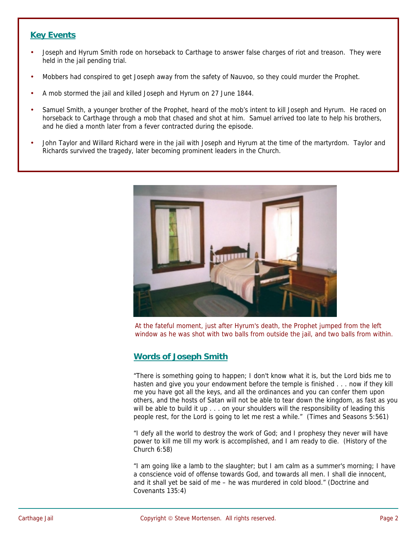## **Key Events**

- Joseph and Hyrum Smith rode on horseback to Carthage to answer false charges of riot and treason. They were held in the jail pending trial.
- Mobbers had conspired to get Joseph away from the safety of Nauvoo, so they could murder the Prophet.
- A mob stormed the jail and killed Joseph and Hyrum on 27 June 1844.
- Samuel Smith, a younger brother of the Prophet, heard of the mob's intent to kill Joseph and Hyrum. He raced on horseback to Carthage through a mob that chased and shot at him. Samuel arrived too late to help his brothers, and he died a month later from a fever contracted during the episode.
- John Taylor and Willard Richard were in the jail with Joseph and Hyrum at the time of the martyrdom. Taylor and Richards survived the tragedy, later becoming prominent leaders in the Church.



At the fateful moment, just after Hyrum's death, the Prophet jumped from the left window as he was shot with two balls from outside the jail, and two balls from within.

## **Words of Joseph Smith**

"There is something going to happen; I don't know what it is, but the Lord bids me to hasten and give you your endowment before the temple is finished . . . now if they kill me you have got all the keys, and all the ordinances and you can confer them upon others, and the hosts of Satan will not be able to tear down the kingdom, as fast as you will be able to build it up . . . on your shoulders will the responsibility of leading this people rest, for the Lord is going to let me rest a while." (Times and Seasons 5:561)

"I defy all the world to destroy the work of God; and I prophesy they never will have power to kill me till my work is accomplished, and I am ready to die. (History of the Church 6:58)

"I am going like a lamb to the slaughter; but I am calm as a summer's morning; I have a conscience void of offense towards God, and towards all men. I shall die innocent, and it shall yet be said of me – he was murdered in cold blood." (Doctrine and Covenants 135:4)